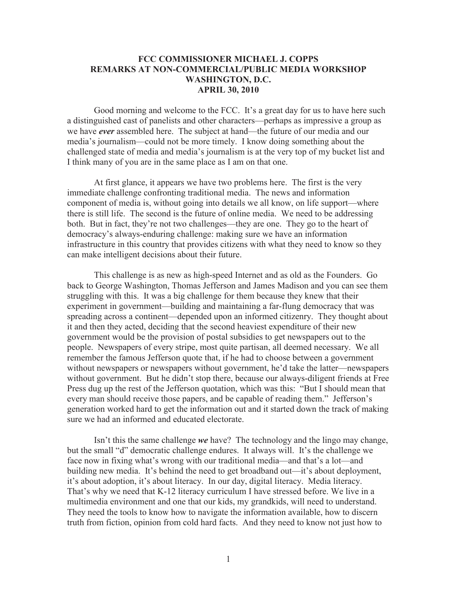## **FCC COMMISSIONER MICHAEL J. COPPS REMARKS AT NON-COMMERCIAL/PUBLIC MEDIA WORKSHOP WASHINGTON, D.C. APRIL 30, 2010**

Good morning and welcome to the FCC. It's a great day for us to have here such a distinguished cast of panelists and other characters—perhaps as impressive a group as we have *ever* assembled here. The subject at hand—the future of our media and our media's journalism—could not be more timely. I know doing something about the challenged state of media and media's journalism is at the very top of my bucket list and I think many of you are in the same place as I am on that one.

At first glance, it appears we have two problems here. The first is the very immediate challenge confronting traditional media. The news and information component of media is, without going into details we all know, on life support—where there is still life. The second is the future of online media. We need to be addressing both. But in fact, they're not two challenges—they are one. They go to the heart of democracy's always-enduring challenge: making sure we have an information infrastructure in this country that provides citizens with what they need to know so they can make intelligent decisions about their future.

This challenge is as new as high-speed Internet and as old as the Founders. Go back to George Washington, Thomas Jefferson and James Madison and you can see them struggling with this. It was a big challenge for them because they knew that their experiment in government—building and maintaining a far-flung democracy that was spreading across a continent—depended upon an informed citizenry. They thought about it and then they acted, deciding that the second heaviest expenditure of their new government would be the provision of postal subsidies to get newspapers out to the people. Newspapers of every stripe, most quite partisan, all deemed necessary. We all remember the famous Jefferson quote that, if he had to choose between a government without newspapers or newspapers without government, he'd take the latter—newspapers without government. But he didn't stop there, because our always-diligent friends at Free Press dug up the rest of the Jefferson quotation, which was this: "But I should mean that every man should receive those papers, and be capable of reading them." Jefferson's generation worked hard to get the information out and it started down the track of making sure we had an informed and educated electorate.

Isn't this the same challenge *we* have? The technology and the lingo may change, but the small "d" democratic challenge endures. It always will. It's the challenge we face now in fixing what's wrong with our traditional media—and that's a lot—and building new media. It's behind the need to get broadband out—it's about deployment, it's about adoption, it's about literacy. In our day, digital literacy. Media literacy. That's why we need that K-12 literacy curriculum I have stressed before. We live in a multimedia environment and one that our kids, my grandkids, will need to understand. They need the tools to know how to navigate the information available, how to discern truth from fiction, opinion from cold hard facts. And they need to know not just how to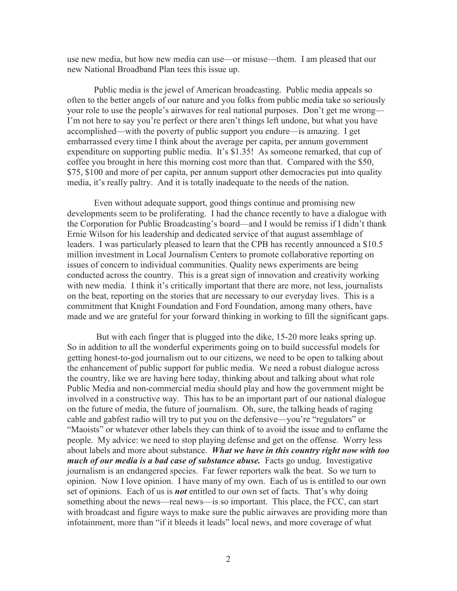use new media, but how new media can use—or misuse—them. I am pleased that our new National Broadband Plan tees this issue up.

Public media is the jewel of American broadcasting. Public media appeals so often to the better angels of our nature and you folks from public media take so seriously your role to use the people's airwaves for real national purposes. Don't get me wrong— I'm not here to say you're perfect or there aren't things left undone, but what you have accomplished—with the poverty of public support you endure—is amazing. I get embarrassed every time I think about the average per capita, per annum government expenditure on supporting public media. It's \$1.35! As someone remarked, that cup of coffee you brought in here this morning cost more than that. Compared with the \$50, \$75, \$100 and more of per capita, per annum support other democracies put into quality media, it's really paltry. And it is totally inadequate to the needs of the nation.

Even without adequate support, good things continue and promising new developments seem to be proliferating. I had the chance recently to have a dialogue with the Corporation for Public Broadcasting's board—and I would be remiss if I didn't thank Ernie Wilson for his leadership and dedicated service of that august assemblage of leaders. I was particularly pleased to learn that the CPB has recently announced a \$10.5 million investment in Local Journalism Centers to promote collaborative reporting on issues of concern to individual communities. Quality news experiments are being conducted across the country. This is a great sign of innovation and creativity working with new media. I think it's critically important that there are more, not less, journalists on the beat, reporting on the stories that are necessary to our everyday lives. This is a commitment that Knight Foundation and Ford Foundation, among many others, have made and we are grateful for your forward thinking in working to fill the significant gaps.

But with each finger that is plugged into the dike, 15-20 more leaks spring up. So in addition to all the wonderful experiments going on to build successful models for getting honest-to-god journalism out to our citizens, we need to be open to talking about the enhancement of public support for public media. We need a robust dialogue across the country, like we are having here today, thinking about and talking about what role Public Media and non-commercial media should play and how the government might be involved in a constructive way. This has to be an important part of our national dialogue on the future of media, the future of journalism. Oh, sure, the talking heads of raging cable and gabfest radio will try to put you on the defensive—you're "regulators" or "Maoists" or whatever other labels they can think of to avoid the issue and to enflame the people. My advice: we need to stop playing defense and get on the offense. Worry less about labels and more about substance. *What we have in this country right now with too much of our media is a bad case of substance abuse.* Facts go undug. Investigative journalism is an endangered species. Far fewer reporters walk the beat. So we turn to opinion. Now I love opinion. I have many of my own. Each of us is entitled to our own set of opinions. Each of us is *not* entitled to our own set of facts. That's why doing something about the news—real news—is so important. This place, the FCC, can start with broadcast and figure ways to make sure the public airwaves are providing more than infotainment, more than "if it bleeds it leads" local news, and more coverage of what